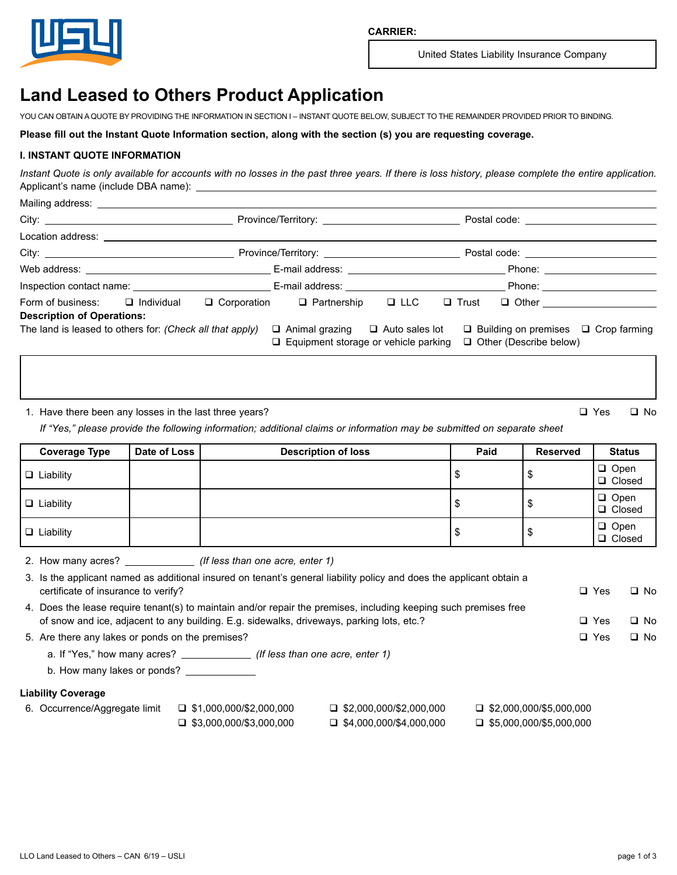

United States Liability Insurance Company

# **Land Leased to Others Product Application**

YOU CAN OBTAIN A QUOTE BY PROVIDING THE INFORMATION IN SECTION I – INSTANT QUOTE BELOW, SUBJECT TO THE REMAINDER PROVIDED PRIOR TO BINDING.

**Please fill out the Instant Quote Information section, along with the section (s) you are requesting coverage.**

## **I. INSTANT QUOTE INFORMATION**

*Instant Quote is only available for accounts with no losses in the past three years. If there is loss history, please complete the entire application.* Applicant's name (include DBA name):

|                                                          |  |  |                                                                                            |  |  | Postal code: ________________________                                            |  |  |
|----------------------------------------------------------|--|--|--------------------------------------------------------------------------------------------|--|--|----------------------------------------------------------------------------------|--|--|
| Location address: ___________________________            |  |  |                                                                                            |  |  |                                                                                  |  |  |
|                                                          |  |  |                                                                                            |  |  | Postal code: __________________________                                          |  |  |
|                                                          |  |  |                                                                                            |  |  |                                                                                  |  |  |
|                                                          |  |  |                                                                                            |  |  |                                                                                  |  |  |
| Form of business: □ Individual                           |  |  | $\Box$ Corporation $\Box$ Partnership $\Box$ LLC                                           |  |  | $\Box$ Trust $\Box$ Other $\Box$                                                 |  |  |
| <b>Description of Operations:</b>                        |  |  |                                                                                            |  |  |                                                                                  |  |  |
| The land is leased to others for: (Check all that apply) |  |  | $\Box$ Animal grazing $\Box$ Auto sales lot<br>$\Box$ Equipment storage or vehicle parking |  |  | $\Box$ Building on premises $\Box$ Crop farming<br>$\Box$ Other (Describe below) |  |  |

1. Have there been any losses in the last three years?  $\Box$  Yes  $\Box$  No

*If "Yes," please provide the following information; additional claims or information may be submitted on separate sheet*

| <b>Coverage Type</b> | Date of Loss | <b>Description of loss</b> | Paid | <b>Reserved</b> | <b>Status</b>           |
|----------------------|--------------|----------------------------|------|-----------------|-------------------------|
| $\Box$ Liability     |              |                            |      |                 | $\Box$ Open<br>□ Closed |
| $\Box$ Liability     |              |                            |      |                 | $\Box$ Open<br>□ Closed |
| $\Box$ Liability     |              |                            |      | ۰D              | $\Box$ Open<br>□ Closed |

2. How many acres? *(If less than one acre, enter 1)*

| certificate of insurance to verify?              |                                                                                           | 3. Is the applicant named as additional insured on tenant's general liability policy and does the applicant obtain a |                                | $\Box$ Yes | $\Box$ No |
|--------------------------------------------------|-------------------------------------------------------------------------------------------|----------------------------------------------------------------------------------------------------------------------|--------------------------------|------------|-----------|
|                                                  |                                                                                           | 4. Does the lease require tenant(s) to maintain and/or repair the premises, including keeping such premises free     |                                |            |           |
|                                                  | of snow and ice, adjacent to any building. E.g. sidewalks, driveways, parking lots, etc.? |                                                                                                                      |                                | $\Box$ Yes | $\Box$ No |
| 5. Are there any lakes or ponds on the premises? |                                                                                           |                                                                                                                      |                                | $\Box$ Yes | $\Box$ No |
|                                                  | a. If "Yes," how many acres? (If less than one acre, enter 1)                             |                                                                                                                      |                                |            |           |
| b. How many lakes or ponds?                      |                                                                                           |                                                                                                                      |                                |            |           |
| <b>Liability Coverage</b>                        |                                                                                           |                                                                                                                      |                                |            |           |
| 6. Occurrence/Aggregate limit                    | $\Box$ \$1,000,000/\$2,000,000                                                            | $\Box$ \$2,000,000/\$2,000,000                                                                                       | $\Box$ \$2,000,000/\$5,000,000 |            |           |
|                                                  | $\Box$ \$3.000.000/\$3.000.000                                                            | $\Box$ \$4.000.000/\$4.000.000                                                                                       | $\Box$ \$5.000.000/\$5.000.000 |            |           |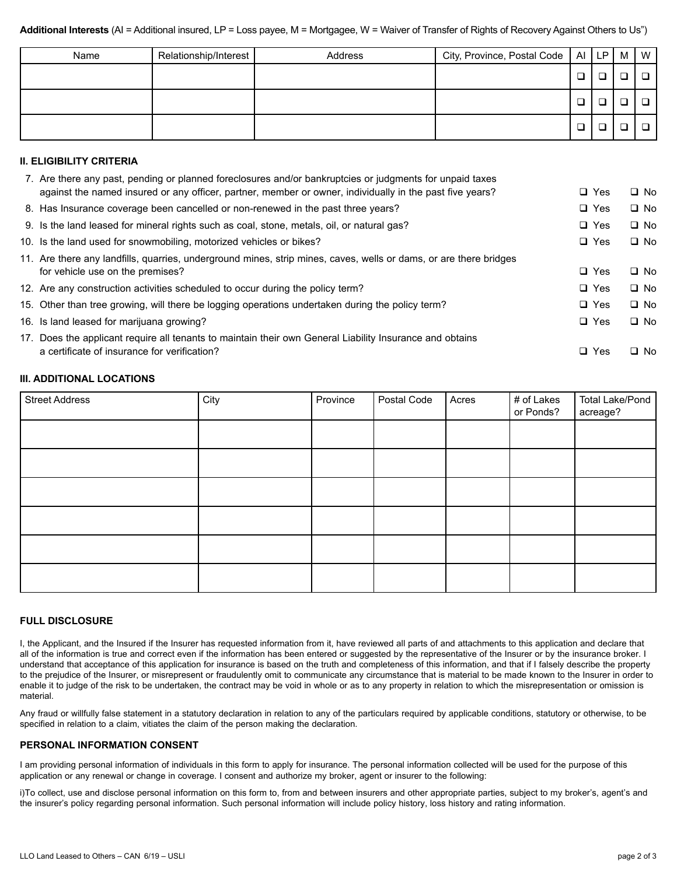| Name | Relationship/Interest | Address | City, Province, Postal Code   AI   LP |        | M | $\mathsf{I}$ W |
|------|-----------------------|---------|---------------------------------------|--------|---|----------------|
|      |                       |         |                                       | ❏      |   |                |
|      |                       |         |                                       | $\Box$ |   |                |
|      |                       |         |                                       | $\Box$ |   |                |

### **II. ELIGIBILITY CRITERIA**

| 7. Are there any past, pending or planned foreclosures and/or bankruptcies or judgments for unpaid taxes          |            |           |
|-------------------------------------------------------------------------------------------------------------------|------------|-----------|
| against the named insured or any officer, partner, member or owner, individually in the past five years?          | $\Box$ Yes | $\Box$ No |
| 8. Has Insurance coverage been cancelled or non-renewed in the past three years?                                  | $\Box$ Yes | $\Box$ No |
| 9. Is the land leased for mineral rights such as coal, stone, metals, oil, or natural gas?                        | $\Box$ Yes | $\Box$ No |
| 10. Is the land used for snowmobiling, motorized vehicles or bikes?                                               | $\Box$ Yes | $\Box$ No |
| 11. Are there any landfills, quarries, underground mines, strip mines, caves, wells or dams, or are there bridges |            |           |
| for vehicle use on the premises?                                                                                  | $\Box$ Yes | $\Box$ No |
| 12. Are any construction activities scheduled to occur during the policy term?                                    | $\Box$ Yes | $\Box$ No |
| 15. Other than tree growing, will there be logging operations undertaken during the policy term?                  | $\Box$ Yes | $\Box$ No |
| 16. Is land leased for marijuana growing?                                                                         | $\Box$ Yes | $\Box$ No |
| 17. Does the applicant require all tenants to maintain their own General Liability Insurance and obtains          |            |           |
| a certificate of insurance for verification?                                                                      | $\Box$ Yes | $\Box$ No |
|                                                                                                                   |            |           |

#### **III. ADDITIONAL LOCATIONS**

| <b>Street Address</b> | City | Province | Postal Code | Acres | # of Lakes<br>or Ponds? | <b>Total Lake/Pond</b><br>acreage? |
|-----------------------|------|----------|-------------|-------|-------------------------|------------------------------------|
|                       |      |          |             |       |                         |                                    |
|                       |      |          |             |       |                         |                                    |
|                       |      |          |             |       |                         |                                    |
|                       |      |          |             |       |                         |                                    |
|                       |      |          |             |       |                         |                                    |
|                       |      |          |             |       |                         |                                    |

#### **FULL DISCLOSURE**

I, the Applicant, and the Insured if the Insurer has requested information from it, have reviewed all parts of and attachments to this application and declare that all of the information is true and correct even if the information has been entered or suggested by the representative of the Insurer or by the insurance broker. I understand that acceptance of this application for insurance is based on the truth and completeness of this information, and that if I falsely describe the property to the prejudice of the Insurer, or misrepresent or fraudulently omit to communicate any circumstance that is material to be made known to the Insurer in order to enable it to judge of the risk to be undertaken, the contract may be void in whole or as to any property in relation to which the misrepresentation or omission is material.

Any fraud or willfully false statement in a statutory declaration in relation to any of the particulars required by applicable conditions, statutory or otherwise, to be specified in relation to a claim, vitiates the claim of the person making the declaration.

#### **PERSONAL INFORMATION CONSENT**

I am providing personal information of individuals in this form to apply for insurance. The personal information collected will be used for the purpose of this application or any renewal or change in coverage. I consent and authorize my broker, agent or insurer to the following:

i)To collect, use and disclose personal information on this form to, from and between insurers and other appropriate parties, subject to my broker's, agent's and the insurer's policy regarding personal information. Such personal information will include policy history, loss history and rating information.